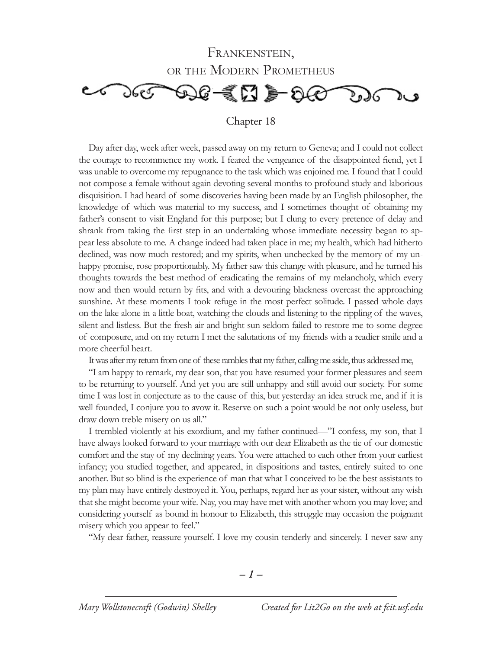

Day after day, week after week, passed away on my return to Geneva; and I could not collect the courage to recommence my work. I feared the vengeance of the disappointed fiend, yet I was unable to overcome my repugnance to the task which was enjoined me. I found that I could not compose a female without again devoting several months to profound study and laborious disquisition. I had heard of some discoveries having been made by an English philosopher, the knowledge of which was material to my success, and I sometimes thought of obtaining my father's consent to visit England for this purpose; but I clung to every pretence of delay and shrank from taking the first step in an undertaking whose immediate necessity began to appear less absolute to me. A change indeed had taken place in me; my health, which had hitherto declined, was now much restored; and my spirits, when unchecked by the memory of my unhappy promise, rose proportionably. My father saw this change with pleasure, and he turned his thoughts towards the best method of eradicating the remains of my melancholy, which every now and then would return by fits, and with a devouring blackness overcast the approaching sunshine. At these moments I took refuge in the most perfect solitude. I passed whole days on the lake alone in a little boat, watching the clouds and listening to the rippling of the waves, silent and listless. But the fresh air and bright sun seldom failed to restore me to some degree of composure, and on my return I met the salutations of my friends with a readier smile and a more cheerful heart.

It was after my return from one of these rambles that my father, calling me aside, thus addressed me,

"I am happy to remark, my dear son, that you have resumed your former pleasures and seem to be returning to yourself. And yet you are still unhappy and still avoid our society. For some time I was lost in conjecture as to the cause of this, but yesterday an idea struck me, and if it is well founded, I conjure you to avow it. Reserve on such a point would be not only useless, but draw down treble misery on us all."

I trembled violently at his exordium, and my father continued—"I confess, my son, that I have always looked forward to your marriage with our dear Elizabeth as the tie of our domestic comfort and the stay of my declining years. You were attached to each other from your earliest infancy; you studied together, and appeared, in dispositions and tastes, entirely suited to one another. But so blind is the experience of man that what I conceived to be the best assistants to my plan may have entirely destroyed it. You, perhaps, regard her as your sister, without any wish that she might become your wife. Nay, you may have met with another whom you may love; and considering yourself as bound in honour to Elizabeth, this struggle may occasion the poignant misery which you appear to feel."

"My dear father, reassure yourself. I love my cousin tenderly and sincerely. I never saw any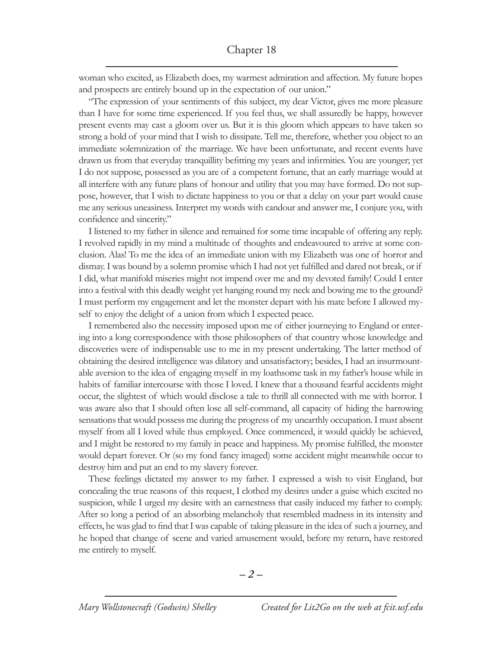woman who excited, as Elizabeth does, my warmest admiration and affection. My future hopes and prospects are entirely bound up in the expectation of our union."

"The expression of your sentiments of this subject, my dear Victor, gives me more pleasure than I have for some time experienced. If you feel thus, we shall assuredly be happy, however present events may cast a gloom over us. But it is this gloom which appears to have taken so strong a hold of your mind that I wish to dissipate. Tell me, therefore, whether you object to an immediate solemnization of the marriage. We have been unfortunate, and recent events have drawn us from that everyday tranquillity befitting my years and infirmities. You are younger; yet I do not suppose, possessed as you are of a competent fortune, that an early marriage would at all interfere with any future plans of honour and utility that you may have formed. Do not suppose, however, that I wish to dictate happiness to you or that a delay on your part would cause me any serious uneasiness. Interpret my words with candour and answer me, I conjure you, with confidence and sincerity."

I listened to my father in silence and remained for some time incapable of offering any reply. I revolved rapidly in my mind a multitude of thoughts and endeavoured to arrive at some conclusion. Alas! To me the idea of an immediate union with my Elizabeth was one of horror and dismay. I was bound by a solemn promise which I had not yet fulfilled and dared not break, or if I did, what manifold miseries might not impend over me and my devoted family! Could I enter into a festival with this deadly weight yet hanging round my neck and bowing me to the ground? I must perform my engagement and let the monster depart with his mate before I allowed myself to enjoy the delight of a union from which I expected peace.

I remembered also the necessity imposed upon me of either journeying to England or entering into a long correspondence with those philosophers of that country whose knowledge and discoveries were of indispensable use to me in my present undertaking. The latter method of obtaining the desired intelligence was dilatory and unsatisfactory; besides, I had an insurmountable aversion to the idea of engaging myself in my loathsome task in my father's house while in habits of familiar intercourse with those I loved. I knew that a thousand fearful accidents might occur, the slightest of which would disclose a tale to thrill all connected with me with horror. I was aware also that I should often lose all self-command, all capacity of hiding the harrowing sensations that would possess me during the progress of my unearthly occupation. I must absent myself from all I loved while thus employed. Once commenced, it would quickly be achieved, and I might be restored to my family in peace and happiness. My promise fulfilled, the monster would depart forever. Or (so my fond fancy imaged) some accident might meanwhile occur to destroy him and put an end to my slavery forever.

These feelings dictated my answer to my father. I expressed a wish to visit England, but concealing the true reasons of this request, I clothed my desires under a guise which excited no suspicion, while I urged my desire with an earnestness that easily induced my father to comply. After so long a period of an absorbing melancholy that resembled madness in its intensity and effects, he was glad to find that I was capable of taking pleasure in the idea of such a journey, and he hoped that change of scene and varied amusement would, before my return, have restored me entirely to myself.

*– –*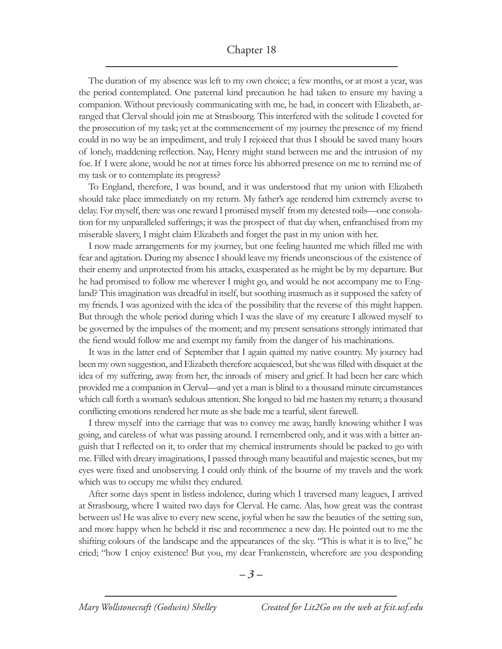The duration of my absence was left to my own choice; a few months, or at most a year, was the period contemplated. One paternal kind precaution he had taken to ensure my having a companion. Without previously communicating with me, he had, in concert with Elizabeth, arranged that Clerval should join me at Strasbourg. This interfered with the solitude I coveted for the prosecution of my task; yet at the commencement of my journey the presence of my friend could in no way be an impediment, and truly I rejoiced that thus I should be saved many hours of lonely, maddening reflection. Nay, Henry might stand between me and the intrusion of my foe. If I were alone, would he not at times force his abhorred presence on me to remind me of my task or to contemplate its progress?

To England, therefore, I was bound, and it was understood that my union with Elizabeth should take place immediately on my return. My father's age rendered him extremely averse to delay. For myself, there was one reward I promised myself from my detested toils—one consolation for my unparalleled sufferings; it was the prospect of that day when, enfranchised from my miserable slavery, I might claim Elizabeth and forget the past in my union with her.

I now made arrangements for my journey, but one feeling haunted me which filled me with fear and agitation. During my absence I should leave my friends unconscious of the existence of their enemy and unprotected from his attacks, exasperated as he might be by my departure. But he had promised to follow me wherever I might go, and would he not accompany me to England? This imagination was dreadful in itself, but soothing inasmuch as it supposed the safety of my friends. I was agonized with the idea of the possibility that the reverse of this might happen. But through the whole period during which I was the slave of my creature I allowed myself to be governed by the impulses of the moment; and my present sensations strongly intimated that the fiend would follow me and exempt my family from the danger of his machinations.

It was in the latter end of September that I again quitted my native country. My journey had been my own suggestion, and Elizabeth therefore acquiesced, but she was filled with disquiet at the idea of my suffering, away from her, the inroads of misery and grief. It had been her care which provided me a companion in Clerval—and yet a man is blind to a thousand minute circumstances which call forth a woman's sedulous attention. She longed to bid me hasten my return; a thousand conflicting emotions rendered her mute as she bade me a tearful, silent farewell.

I threw myself into the carriage that was to convey me away, hardly knowing whither I was going, and careless of what was passing around. I remembered only, and it was with a bitter anguish that I reflected on it, to order that my chemical instruments should be packed to go with me. Filled with dreary imaginations, I passed through many beautiful and majestic scenes, but my eyes were fixed and unobserving. I could only think of the bourne of my travels and the work which was to occupy me whilst they endured.

After some days spent in listless indolence, during which I traversed many leagues, I arrived at Strasbourg, where I waited two days for Clerval. He came. Alas, how great was the contrast between us! He was alive to every new scene, joyful when he saw the beauties of the setting sun, and more happy when he beheld it rise and recommence a new day. He pointed out to me the shifting colours of the landscape and the appearances of the sky. "This is what it is to live," he cried; "how I enjoy existence! But you, my dear Frankenstein, wherefore are you desponding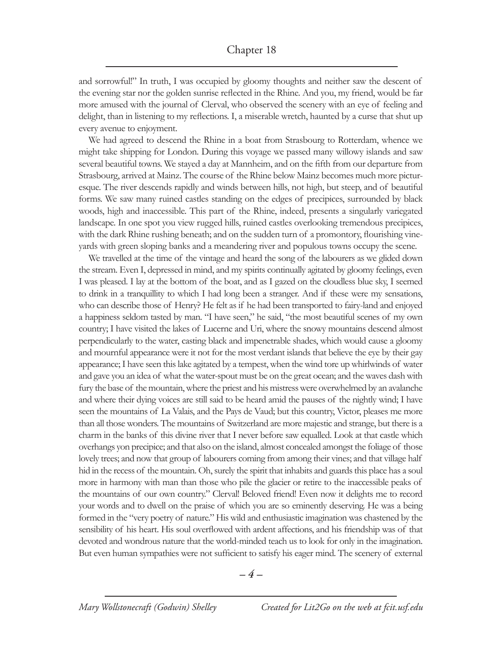and sorrowful!" In truth, I was occupied by gloomy thoughts and neither saw the descent of the evening star nor the golden sunrise reflected in the Rhine. And you, my friend, would be far more amused with the journal of Clerval, who observed the scenery with an eye of feeling and delight, than in listening to my reflections. I, a miserable wretch, haunted by a curse that shut up every avenue to enjoyment.

We had agreed to descend the Rhine in a boat from Strasbourg to Rotterdam, whence we might take shipping for London. During this voyage we passed many willowy islands and saw several beautiful towns. We stayed a day at Mannheim, and on the fifth from our departure from Strasbourg, arrived at Mainz. The course of the Rhine below Mainz becomes much more picturesque. The river descends rapidly and winds between hills, not high, but steep, and of beautiful forms. We saw many ruined castles standing on the edges of precipices, surrounded by black woods, high and inaccessible. This part of the Rhine, indeed, presents a singularly variegated landscape. In one spot you view rugged hills, ruined castles overlooking tremendous precipices, with the dark Rhine rushing beneath; and on the sudden turn of a promontory, flourishing vineyards with green sloping banks and a meandering river and populous towns occupy the scene.

We travelled at the time of the vintage and heard the song of the labourers as we glided down the stream. Even I, depressed in mind, and my spirits continually agitated by gloomy feelings, even I was pleased. I lay at the bottom of the boat, and as I gazed on the cloudless blue sky, I seemed to drink in a tranquillity to which I had long been a stranger. And if these were my sensations, who can describe those of Henry? He felt as if he had been transported to fairy-land and enjoyed a happiness seldom tasted by man. "I have seen," he said, "the most beautiful scenes of my own country; I have visited the lakes of Lucerne and Uri, where the snowy mountains descend almost perpendicularly to the water, casting black and impenetrable shades, which would cause a gloomy and mournful appearance were it not for the most verdant islands that believe the eye by their gay appearance; I have seen this lake agitated by a tempest, when the wind tore up whirlwinds of water and gave you an idea of what the water-spout must be on the great ocean; and the waves dash with fury the base of the mountain, where the priest and his mistress were overwhelmed by an avalanche and where their dying voices are still said to be heard amid the pauses of the nightly wind; I have seen the mountains of La Valais, and the Pays de Vaud; but this country, Victor, pleases me more than all those wonders. The mountains of Switzerland are more majestic and strange, but there is a charm in the banks of this divine river that I never before saw equalled. Look at that castle which overhangs yon precipice; and that also on the island, almost concealed amongst the foliage of those lovely trees; and now that group of labourers coming from among their vines; and that village half hid in the recess of the mountain. Oh, surely the spirit that inhabits and guards this place has a soul more in harmony with man than those who pile the glacier or retire to the inaccessible peaks of the mountains of our own country." Clerval! Beloved friend! Even now it delights me to record your words and to dwell on the praise of which you are so eminently deserving. He was a being formed in the "very poetry of nature." His wild and enthusiastic imagination was chastened by the sensibility of his heart. His soul overflowed with ardent affections, and his friendship was of that devoted and wondrous nature that the world-minded teach us to look for only in the imagination. But even human sympathies were not sufficient to satisfy his eager mind. The scenery of external